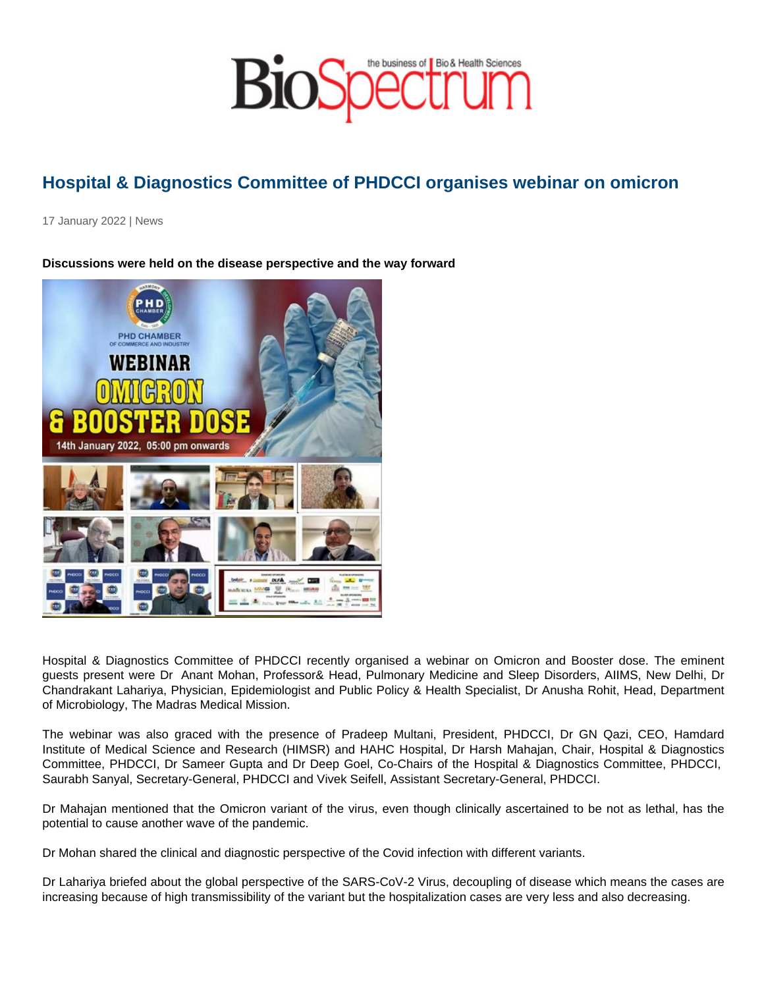## Hospital & Diagnostics Committee of PHDCCI organises webinar on omicron

17 January 2022 | News

Discussions were held on the disease perspective and the way forward

Hospital & Diagnostics Committee of PHDCCI recently organised a webinar on Omicron and Booster dose. The eminent guests present were Dr Anant Mohan, Professor& Head, Pulmonary Medicine and Sleep Disorders, AIIMS, New Delhi, Dr Chandrakant Lahariya, Physician, Epidemiologist and Public Policy & Health Specialist, Dr Anusha Rohit, Head, Department of Microbiology, The Madras Medical Mission.

The webinar was also graced with the presence of Pradeep Multani, President, PHDCCI, Dr GN Qazi, CEO, Hamdard Institute of Medical Science and Research (HIMSR) and HAHC Hospital, Dr Harsh Mahajan, Chair, Hospital & Diagnostics Committee, PHDCCI, Dr Sameer Gupta and Dr Deep Goel, Co-Chairs of the Hospital & Diagnostics Committee, PHDCCI, Saurabh Sanyal, Secretary-General, PHDCCI and Vivek Seifell, Assistant Secretary-General, PHDCCI.

Dr Mahajan mentioned that the Omicron variant of the virus, even though clinically ascertained to be not as lethal, has the potential to cause another wave of the pandemic.

Dr Mohan shared the clinical and diagnostic perspective of the Covid infection with different variants.

Dr Lahariya briefed about the global perspective of the SARS-CoV-2 Virus, decoupling of disease which means the cases are increasing because of high transmissibility of the variant but the hospitalization cases are very less and also decreasing.